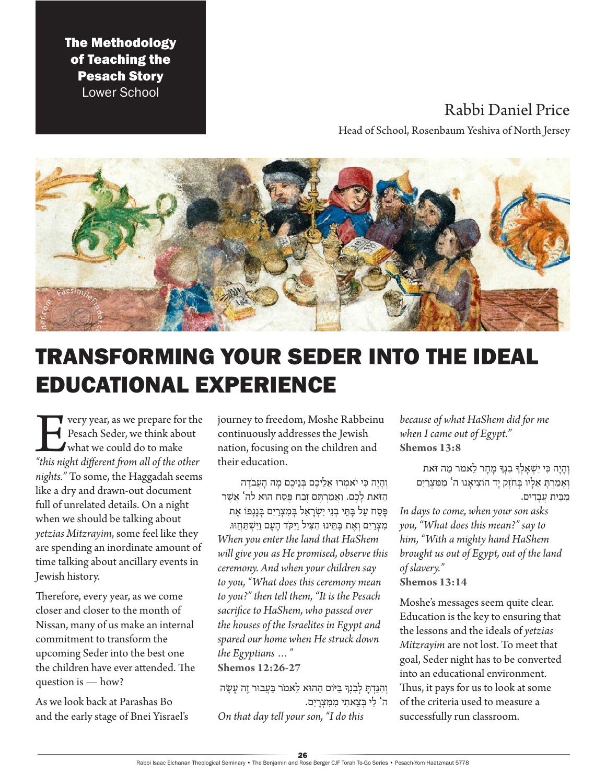The Methodology of Teaching the Pesach Story Lower School

## Rabbi Daniel Price

Head of School, Rosenbaum Yeshiva of North Jersey



# TRANSFORMING YOUR SEDER INTO THE IDEAL EDUCATIONAL EXPERIENCE

**Every year, as we prepare for the Pesach Seder, we think about what we could do to make "this night different from all of the other** Pesach Seder, we think about what we could do to make *nights."* To some, the Haggadah seems like a dry and drawn-out document full of unrelated details. On a night when we should be talking about *yetzias Mitzrayim*, some feel like they are spending an inordinate amount of time talking about ancillary events in Jewish history.

Therefore, every year, as we come closer and closer to the month of Nissan, many of us make an internal commitment to transform the upcoming Seder into the best one the children have ever attended. The question is — how?

As we look back at Parashas Bo and the early stage of Bnei Yisrael's journey to freedom, Moshe Rabbeinu continuously addresses the Jewish nation, focusing on the children and their education.

וְהַיָּה כִּי יֹאמְרוּ אֲלֵיכֶם בְּנֵיכֶם מֵה הַעֲבֹדָה הַ זֹאת לָ כֶ ם. וַ אֲ מַ רְ תֶ ם זֶבַ ח פֶ סַ ח הּוא לה' אֲ שֶ ר

פִּסַח עַל בַּתֵּי בְנֵי יִשְׂרַאֵל בְּמִצְרַיִם בְּנַגְפּוֹ אֵת מִצְרַיִם וְאֶת בָּתֵינוּ הִצִיל וַיִּקֹד הַעַם וַיִּשְׁתַּחֵוּוּ. *When you enter the land that HaShem will give you as He promised, observe this ceremony. And when your children say to you, "What does this ceremony mean to you?" then tell them, "It is the Pesach sacrifice to HaShem, who passed over the houses of the Israelites in Egypt and spared our home when He struck down* 

*the Egyptians …"*  **Shemos 12:26-27**

וְהִגַּדְתַּ לְבְנִךְ בַּיּוֹם הַהוּא לֵאמֹר בַּעֲבוּר זֶה עַשָׂה ה' לִ י בְ צֵ אתִ י מִ מִ צְ רָ יִם. *On that day tell your son, "I do this* 

*because of what HaShem did for me when I came out of Egypt."*  **Shemos 13:8**

וְהָיָה כִּי יִשְׁאָלְךְּ בִנְךְּ מָחָר לֵאמֹר מַה זֹאת וְ אָמַרְתָּ אֵלָיו בְּחֹזֵק יָד הוֹצִיאָנוּ ה' מִמְצְרַיִם מִבֵּית עֲבַדִים.

*In days to come, when your son asks you, "What does this mean?" say to him, "With a mighty hand HaShem brought us out of Egypt, out of the land of slavery."*

**Shemos 13:14**

Moshe's messages seem quite clear. Education is the key to ensuring that the lessons and the ideals of *yetzias Mitzrayim* are not lost. To meet that goal, Seder night has to be converted into an educational environment. Thus, it pays for us to look at some of the criteria used to measure a successfully run classroom.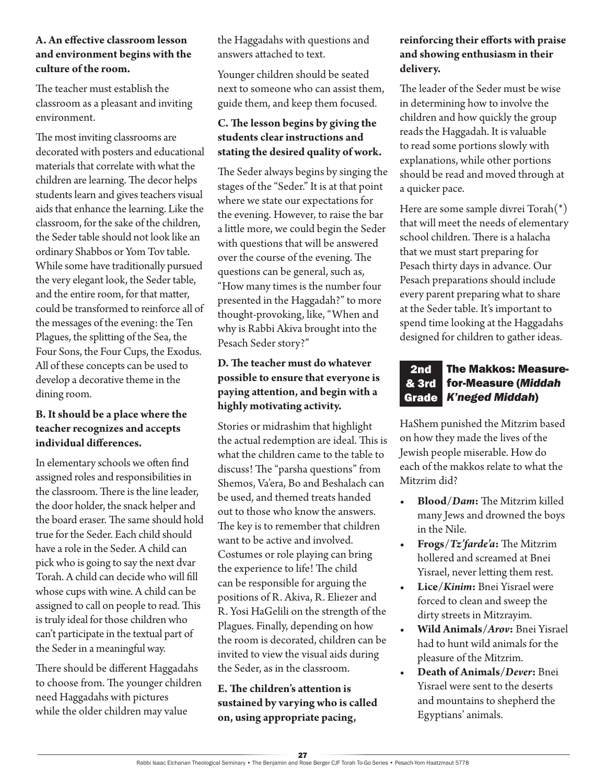#### **A. An effective classroom lesson and environment begins with the culture of the room.**

The teacher must establish the classroom as a pleasant and inviting environment.

The most inviting classrooms are decorated with posters and educational materials that correlate with what the children are learning. The decor helps students learn and gives teachers visual aids that enhance the learning. Like the classroom, for the sake of the children, the Seder table should not look like an ordinary Shabbos or Yom Tov table. While some have traditionally pursued the very elegant look, the Seder table, and the entire room, for that matter, could be transformed to reinforce all of the messages of the evening: the Ten Plagues, the splitting of the Sea, the Four Sons, the Four Cups, the Exodus. All of these concepts can be used to develop a decorative theme in the dining room.

#### **B. It should be a place where the teacher recognizes and accepts individual differences.**

In elementary schools we often find assigned roles and responsibilities in the classroom. There is the line leader, the door holder, the snack helper and the board eraser. The same should hold true for the Seder. Each child should have a role in the Seder. A child can pick who is going to say the next dvar Torah. A child can decide who will fill whose cups with wine. A child can be assigned to call on people to read. This is truly ideal for those children who can't participate in the textual part of the Seder in a meaningful way.

There should be different Haggadahs to choose from. The younger children need Haggadahs with pictures while the older children may value

the Haggadahs with questions and answers attached to text.

Younger children should be seated next to someone who can assist them, guide them, and keep them focused.

### **C. The lesson begins by giving the students clear instructions and stating the desired quality of work.**

The Seder always begins by singing the stages of the "Seder." It is at that point where we state our expectations for the evening. However, to raise the bar a little more, we could begin the Seder with questions that will be answered over the course of the evening. The questions can be general, such as, "How many times is the number four presented in the Haggadah?" to more thought-provoking, like, "When and why is Rabbi Akiva brought into the Pesach Seder story?"

### **D. The teacher must do whatever possible to ensure that everyone is paying attention, and begin with a highly motivating activity.**

Stories or midrashim that highlight the actual redemption are ideal. This is what the children came to the table to discuss! The "parsha questions" from Shemos, Va'era, Bo and Beshalach can be used, and themed treats handed out to those who know the answers. The key is to remember that children want to be active and involved. Costumes or role playing can bring the experience to life! The child can be responsible for arguing the positions of R. Akiva, R. Eliezer and R. Yosi HaGelili on the strength of the Plagues. Finally, depending on how the room is decorated, children can be invited to view the visual aids during the Seder, as in the classroom.

### **E. The children's attention is sustained by varying who is called on, using appropriate pacing,**

#### **reinforcing their efforts with praise and showing enthusiasm in their delivery.**

The leader of the Seder must be wise in determining how to involve the children and how quickly the group reads the Haggadah. It is valuable to read some portions slowly with explanations, while other portions should be read and moved through at a quicker pace.

Here are some sample divrei Torah(\*) that will meet the needs of elementary school children. There is a halacha that we must start preparing for Pesach thirty days in advance. Our Pesach preparations should include every parent preparing what to share at the Seder table. It's important to spend time looking at the Haggadahs designed for children to gather ideas.

#### The Makkos: Measurefor-Measure (*Middah K'neged Middah*) Grade2nd & 3rd

HaShem punished the Mitzrim based on how they made the lives of the Jewish people miserable. How do each of the makkos relate to what the Mitzrim did?

- **• Blood/***Dam***:** The Mitzrim killed many Jews and drowned the boys in the Nile.
- **• Frogs/***Tz'farde'a***:** The Mitzrim hollered and screamed at Bnei Yisrael, never letting them rest.
- **• Lice/***Kinim***:** Bnei Yisrael were forced to clean and sweep the dirty streets in Mitzrayim.
- **• Wild Animals/***Arov***:** Bnei Yisrael had to hunt wild animals for the pleasure of the Mitzrim.
- **• Death of Animals/***Dever***:** Bnei Yisrael were sent to the deserts and mountains to shepherd the Egyptians' animals.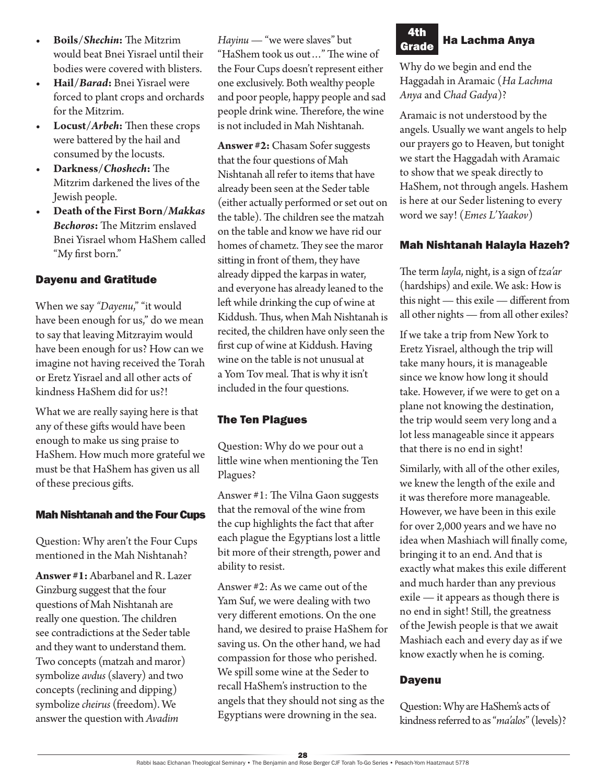- **• Boils/***Shechin***:** The Mitzrim would beat Bnei Yisrael until their bodies were covered with blisters.
- **• Hail/***Barad***:** Bnei Yisrael were forced to plant crops and orchards for the Mitzrim.
- **• Locust/***Arbeh***:** Then these crops were battered by the hail and consumed by the locusts.
- **• Darkness/***Choshech***:** The Mitzrim darkened the lives of the Jewish people.
- **• Death of the First Born/***Makkas Bechoros***:** The Mitzrim enslaved Bnei Yisrael whom HaShem called "My first born."

#### Dayenu and Gratitude

When we say "Dayenu," "it would have been enough for us," do we mean to say that leaving Mitzrayim would have been enough for us? How can we imagine not having received the Torah or Eretz Yisrael and all other acts of kindness HaShem did for us?!

What we are really saying here is that any of these gifts would have been enough to make us sing praise to HaShem. How much more grateful we must be that HaShem has given us all of these precious gifts.

#### Mah Nishtanah and the Four Cups

Question: Why aren't the Four Cups mentioned in the Mah Nishtanah?

**Answer #1:** Abarbanel and R. Lazer Ginzburg suggest that the four questions of Mah Nishtanah are really one question. The children see contradictions at the Seder table and they want to understand them. Two concepts (matzah and maror) symbolize *avdus* (slavery) and two concepts (reclining and dipping) symbolize *cheirus* (freedom). We answer the question with *Avadim* 

*Hayinu* — "we were slaves" but "HaShem took us out…" The wine of the Four Cups doesn't represent either one exclusively. Both wealthy people and poor people, happy people and sad people drink wine. Therefore, the wine is not included in Mah Nishtanah.

**Answer #2:** Chasam Sofer suggests that the four questions of Mah Nishtanah all refer to items that have already been seen at the Seder table (either actually performed or set out on the table). The children see the matzah on the table and know we have rid our homes of chametz. They see the maror sitting in front of them, they have already dipped the karpas in water, and everyone has already leaned to the left while drinking the cup of wine at Kiddush. Thus, when Mah Nishtanah is recited, the children have only seen the first cup of wine at Kiddush. Having wine on the table is not unusual at a Yom Tov meal. That is why it isn't included in the four questions.

## The Ten Plagues

Question: Why do we pour out a little wine when mentioning the Ten Plagues?

Answer #1: The Vilna Gaon suggests that the removal of the wine from the cup highlights the fact that after each plague the Egyptians lost a little bit more of their strength, power and ability to resist.

Answer #2: As we came out of the Yam Suf, we were dealing with two very different emotions. On the one hand, we desired to praise HaShem for saving us. On the other hand, we had compassion for those who perished. We spill some wine at the Seder to recall HaShem's instruction to the angels that they should not sing as the Egyptians were drowning in the sea.

#### Ha Lachma Anya 4th **Grade**

Why do we begin and end the Haggadah in Aramaic (*Ha Lachma Anya* and *Chad Gadya*)?

Aramaic is not understood by the angels. Usually we want angels to help our prayers go to Heaven, but tonight we start the Haggadah with Aramaic to show that we speak directly to HaShem, not through angels. Hashem is here at our Seder listening to every word we say! (*Emes L'Yaakov*)

#### Mah Nishtanah Halayla Hazeh?

The term *layla*, night, is a sign of *tza'ar* (hardships) and exile. We ask: How is this night — this exile — different from all other nights — from all other exiles?

If we take a trip from New York to Eretz Yisrael, although the trip will take many hours, it is manageable since we know how long it should take. However, if we were to get on a plane not knowing the destination, the trip would seem very long and a lot less manageable since it appears that there is no end in sight!

Similarly, with all of the other exiles, we knew the length of the exile and it was therefore more manageable. However, we have been in this exile for over 2,000 years and we have no idea when Mashiach will finally come, bringing it to an end. And that is exactly what makes this exile different and much harder than any previous exile — it appears as though there is no end in sight! Still, the greatness of the Jewish people is that we await Mashiach each and every day as if we know exactly when he is coming.

#### **Dayenu**

Question: Why are HaShem's acts of kindness referred to as "*ma'alos*" (levels)?